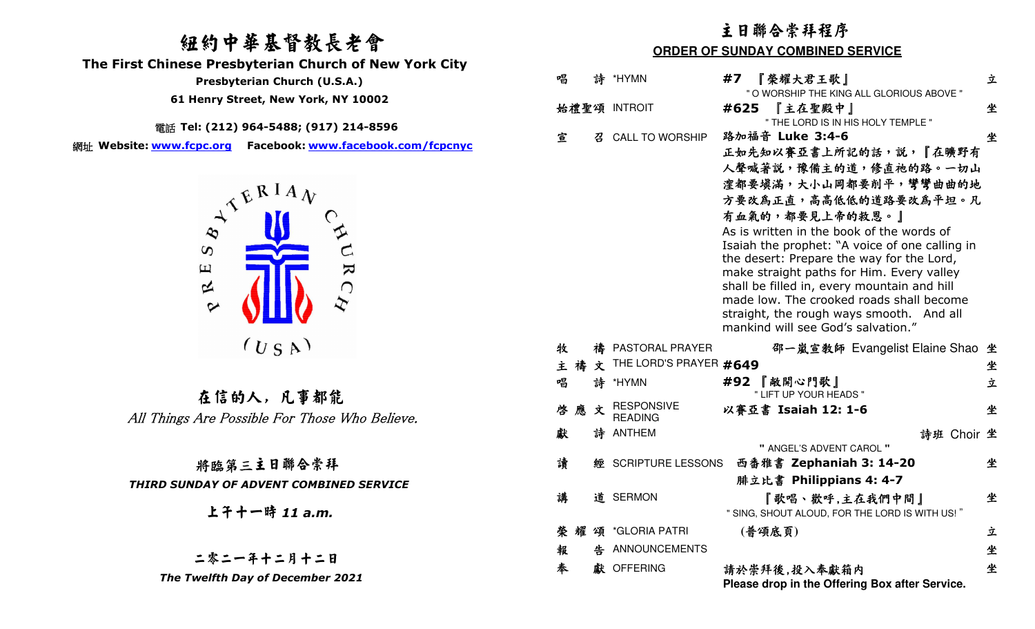# 紐約中華基督教長老會

 **The First Chinese Presbyterian Church of New York City** 

 **Presbyterian Church (U.S.A.)** 

 **61 Henry Street, New York, NY 10002**

電話 **Tel: (212) 964-5488; (917) 214-8596** 

網址 **Website: www.fcpc.org Facebook: www.facebook.com/fcpcnyc**



在信的人, 凡事都能All Things Are Possible For Those Who Believe.

### 將臨第三主日聯合崇拜

#### *THIRD SUNDAY OF ADVENT COMBINED SERVICE*

上午十一時 *11 a.m.* 

#### 二零二一年十二月十二日 *The Twelfth Day of December 2021*

## 主日聯合崇拜程序

#### **ORDER OF SUNDAY COMBINED SERVICE**

| 唱      |    | 詩 *HYMN                | 『榮耀大君王歌』<br>#7                                                                          | 立 |
|--------|----|------------------------|-----------------------------------------------------------------------------------------|---|
|        |    |                        | " O WORSHIP THE KING ALL GLORIOUS ABOVE "                                               |   |
|        |    | 始禮聖頌 INTROIT           | 『主在聖殿中』<br>#625                                                                         | 坐 |
|        |    |                        | " THE LORD IS IN HIS HOLY TEMPLE "                                                      |   |
| 宣      |    | 召 CALL TO WORSHIP      | 路加福音 Luke 3:4-6                                                                         | 坐 |
|        |    |                        | 正如先知以賽亞書上所記的話,說,『在曠野有                                                                   |   |
|        |    |                        | 人聲喊著說,豫備主的道,修直祂的路。一切山                                                                   |   |
|        |    |                        | 漥都要填滿,大小山岡都要削平,彎彎曲曲的地                                                                   |   |
|        |    |                        | 方要改為正直,高高低低的道路要改為平坦。凡                                                                   |   |
|        |    |                        | 有血氣的,都要見上帝的救恩。」                                                                         |   |
|        |    |                        | As is written in the book of the words of                                               |   |
|        |    |                        | Isaiah the prophet: "A voice of one calling in                                          |   |
|        |    |                        | the desert: Prepare the way for the Lord,                                               |   |
|        |    |                        | make straight paths for Him. Every valley                                               |   |
|        |    |                        | shall be filled in, every mountain and hill<br>made low. The crooked roads shall become |   |
|        |    |                        | straight, the rough ways smooth. And all                                                |   |
|        |    |                        | mankind will see God's salvation."                                                      |   |
|        |    |                        |                                                                                         |   |
| 牧      |    | 禱 PASTORAL PRAYER      | 邵一嵐宣教師 Evangelist Elaine Shao                                                           | 坐 |
| 主      | 禱文 | THE LORD'S PRAYER #649 |                                                                                         | 坐 |
| 唱      |    | 詩 *HYMN                | #92 『敞開心門歌』                                                                             | 立 |
| 啓應     | 文  | <b>RESPONSIVE</b>      | " LIFT UP YOUR HEADS "                                                                  | 坐 |
|        |    | <b>READING</b>         | 以賽亞書 Isaiah 12: 1-6                                                                     |   |
| 獻      |    | 詩 ANTHEM               | 詩班 Choir 坐                                                                              |   |
|        |    |                        | " ANGEL'S ADVENT CAROL "                                                                |   |
| 讀      |    | 經 SCRIPTURE LESSONS    | 西番雅書 Zephaniah 3: 14-20                                                                 | 坐 |
|        |    |                        | 腓立比書 Philippians 4: 4-7                                                                 |   |
| 講      |    | 道 SERMON               | 『歌唱、歡呼,主在我們中間』                                                                          | 坐 |
|        |    |                        | " SING, SHOUT ALOUD, FOR THE LORD IS WITH US!"                                          |   |
| 榮<br>耀 |    | 頌 *GLORIA PATRI        | (普頌底頁)                                                                                  | 立 |
| 報      | 牛  | ANNOUNCEMENTS          |                                                                                         | 坐 |
| 奉      |    | 獻 OFFERING             |                                                                                         | 坐 |
|        |    |                        | 請於崇拜後,投入奉獻箱内                                                                            |   |
|        |    |                        | Please drop in the Offering Box after Service.                                          |   |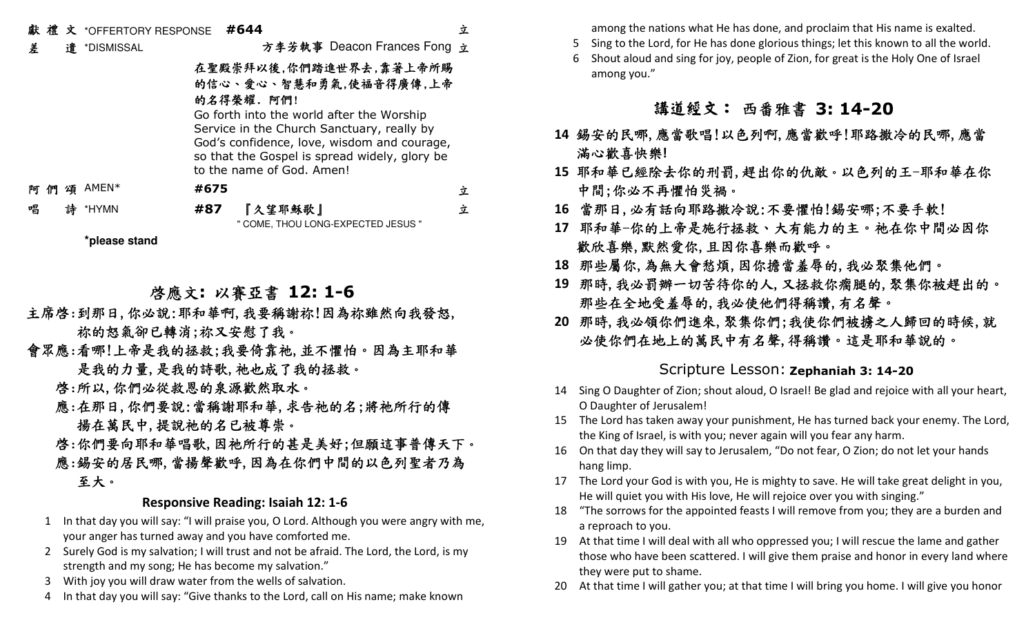# 獻 禮 文 \*OFFERTORY RESPONSE **#644**

差 遣 \*DISMISSAL

方李芳執事 Deacon Frances Fong 立

立

立

立

#### 在聖殿崇拜以後,你們踏進世界去,靠著上帝所賜 的信<sup>心</sup>、愛<sup>心</sup>、智慧和勇氣,使福音得廣傳,上帝的名得榮耀. 阿們!

 Go forth into the world after the Worship Service in the Church Sanctuary, really by God's confidence, love, wisdom and courage, so that the Gospel is spread widely, glory be to the name of God. Amen!

阿 們 頌AMEN\* **#675**

唱 詩 \*HYMN **#87**『久望耶穌歌』

" COME, THOU LONG-EXPECTED JESUS "

**\*please stand**

# 啟應文**:** 以賽亞書 **12: 1-6**

- 主席啓:到那日,你必說:耶和華啊,我要稱謝祢!因為祢雖然向我發怒, 祢的怒氣卻已轉消;祢又安慰了我。
- 會眾應:看哪!上帝是我的拯救;我要倚靠祂,並不懼怕。因為主耶和華 是我的力量,是我的詩歌,祂也成了我的拯救。

#### 啟:所以,你們必從救恩的泉源歡然取水。

 應:在那日,你們要說:當稱謝耶和華,求告祂的名;將祂所行的傳 揚在萬民中,提說祂的名已被尊崇。

### 啟:你們要向耶和華唱歌,因祂所行的甚是美好;但願這事普傳天下。 應:錫安的居民哪,當揚聲歡呼,因為在你們中間的以色列聖者乃為 至大。

#### **Responsive Reading: Isaiah 12: 1-6**

- 1 In that day you will say: "I will praise you, O Lord. Although you were angry with me, your anger has turned away and you have comforted me.
- 2 Surely God is my salvation; I will trust and not be afraid. The Lord, the Lord, is my strength and my song; He has become my salvation."
- 3 With joy you will draw water from the wells of salvation.
- 4 In that day you will say: "Give thanks to the Lord, call on His name; make known

among the nations what He has done, and proclaim that His name is exalted.

- 5 Sing to the Lord, for He has done glorious things; let this known to all the world.
- 6 Shout aloud and sing for joy, people of Zion, for great is the Holy One of Israel among you."

# 講道經文:西番雅書 **3: 14-20**

- **14** 錫安的民哪,應當歌唱!以色列啊,應當歡呼!耶路撒冷的民哪,應當 滿心歡喜快樂**!**
- **15** 耶和華已經除去你的刑罰,趕出你的仇敵。以色列的王-耶和華在你 中間;你必不再懼怕災禍。
- **16** 當那日,必有話向耶路撒冷說:不要懼怕!錫安哪;不要手軟!
- **17** 耶和華-你的上帝是施行拯救、大有能力的主。祂在你中間必因你 歡欣喜樂,默然愛你,且因你喜樂而歡呼。
- **18** 那些屬你,為無大會愁煩,因你擔當羞辱的,我必聚集他們。
- **19** 那時,我必罰辦一切苦待你的人,又拯救你瘸腿的,聚集你被趕出的。 那些在全地受羞辱的,我必使他們得稱讚,有名聲。
- **20** 那時,我必領你們進來,聚集你們;我使你們被擄之人歸回的時候,就 必使你們在地上的萬民中有名聲,得稱讚。這是耶和華說的。

# Scripture Lesson: **Zephaniah 3: 14-20**

- 14 Sing O Daughter of Zion; shout aloud, O Israel! Be glad and rejoice with all your heart, O Daughter of Jerusalem!
- 15 The Lord has taken away your punishment, He has turned back your enemy. The Lord, the King of Israel, is with you; never again will you fear any harm.
- 16 On that day they will say to Jerusalem, "Do not fear, O Zion; do not let your hands hang limp.
- 17 The Lord your God is with you, He is mighty to save. He will take great delight in you, He will quiet you with His love, He will rejoice over you with singing."
- 18 "The sorrows for the appointed feasts I will remove from you; they are a burden and a reproach to you.
- 19 At that time I will deal with all who oppressed you; I will rescue the lame and gather those who have been scattered. I will give them praise and honor in every land where they were put to shame.
- 20 At that time I will gather you; at that time I will bring you home. I will give you honor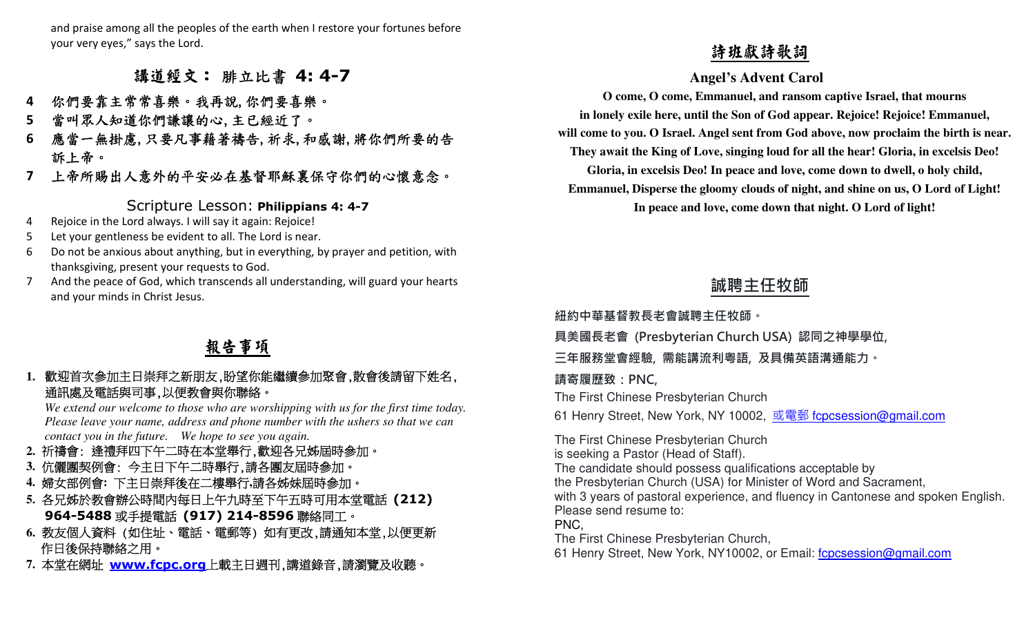and praise among all the peoples of the earth when I restore your fortunes before your very eyes," says the Lord.

## 講道經文:腓立比書 **4: 4-7**

- 你們要靠主常常喜樂。我再說,你們要喜樂。 **4**
- 當叫眾人知道你們謙讓的心,主已經近了。 **5**
- 應當一無掛慮,只要凡事藉著禱告,祈求,和感謝,將你們所要的告 **6** 訴上帝。
- 上帝所賜出人意外的平安必在基督耶穌裏保守你們的心懷意念。**7**

## Scripture Lesson: **Philippians 4: 4-7**

- 4 Rejoice in the Lord always. I will say it again: Rejoice!
- 5 Let your gentleness be evident to all. The Lord is near.
- 6 Do not be anxious about anything, but in everything, by prayer and petition, with thanksgiving, present your requests to God.
- 7 And the peace of God, which transcends all understanding, will guard your hearts and your minds in Christ Jesus.

# 報告事項

#### **1.**歡迎首次參加主日崇拜之新朋友,盼望你能繼續參加聚會,散會後請留下姓名, 通訊處及電話與司事,以便教會與你聯絡。

 *We extend our welcome to those who are worshipping with us for the first time today. Please leave your name, address and phone number with the ushers so that we can contact you in the future. We hope to see you again.* 

- **2.**祈禱會: 逢禮拜四下午二時在本堂舉行,歡迎各兄姊屆時參加。
- **3.** 伉儷團契例會: 今主日下午二時舉行,請各團友屆時參加。
- **4.** 婦女部例會**:** 下主日崇拜後在二樓舉行**,**請各姊妹屆時參加。
- **5.** 各兄姊於教會辦公時間內每日上午九時至下午五時可用本堂電話 **(212) 964-5488**或手提電話 **(917) 214-8596**聯絡同工。
- **6.** 教友個人資料 (如住址、電話、電郵等) 如有更改,請通知本堂,以便更新 作日後保持聯絡之用。
- **7.** 本堂在網址 **www.fcpc.org** 上載主日週刊,講道錄音,請瀏覽及收聽。

1999年ままま参考を発生、後半、14:4-7<br>
\* 今何を集まを発き、会長期、公民・社会・4:4-7<br>
\* 今何を集まを発表し、全身に、また、また、また、また、また、また、また、また、 come Come Come Come Come Come in An origin and reason controlled by English and the same of our point of the paint of the sam

**紐約中華基督教⻑老會誠聘主任牧師。** 

**具美國⻑老會 (Presbyterian Church USA) 認同之神學學位,** 

**三年服務堂會經驗, 需能講流利粵語, 及具備英語溝通能力。** 

#### **請寄履歷致:PNC,**

The First Chinese Presbyterian Church

61 Henry Street, New York, NY 10002, <u>或電郵 f<mark>cpcsession@gmail.com</mark></u>

The First Chinese Presbyterian Church is seeking a Pastor (Head of Staff). The candidate should possess qualifications acceptable by the Presbyterian Church (USA) for Minister of Word and Sacrament, with 3 years of pastoral experience, and fluency in Cantonese and spoken English.Please send resume to: PNC, The First Chinese Presbyterian Church,61 Henry Street, New York, NY10002, or Email: fcpcsession@gmail.com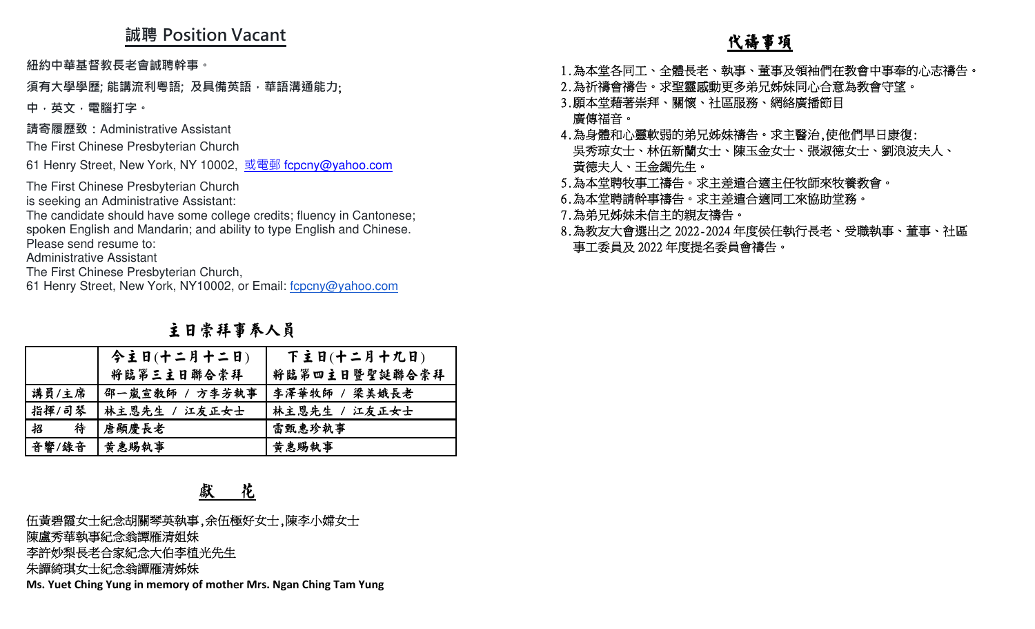# **誠聘 Position Vacant**

## 主日崇拜事奉人員

|                                                           | 视特 POSITION VACANT                                                                                                                                                                                                                                                                                                                                                                                                   |                  | <u>代禱事項</u>                                                                                                                                                                                                                                       |
|-----------------------------------------------------------|----------------------------------------------------------------------------------------------------------------------------------------------------------------------------------------------------------------------------------------------------------------------------------------------------------------------------------------------------------------------------------------------------------------------|------------------|---------------------------------------------------------------------------------------------------------------------------------------------------------------------------------------------------------------------------------------------------|
|                                                           | 紐約中華基督教長老會誠聘幹事。<br>須有大學學歷; 能講流利粵語; 及具備英語 · 華語溝通能力;                                                                                                                                                                                                                                                                                                                                                                   |                  | 1.為本堂各同工、全體長老、執事、董事及領袖們在教會中事奉的心志禱告。<br>2.為祈禱會禱告。求聖靈感動更多弟兄姊妹同心合意為教會守望。                                                                                                                                                                             |
| 中,英文,電腦打字。                                                |                                                                                                                                                                                                                                                                                                                                                                                                                      |                  | 3.願本堂藉著崇拜、關懷、社區服務、網絡廣播節目                                                                                                                                                                                                                          |
| Please send resume to:<br><b>Administrative Assistant</b> | 請寄履歷致:Administrative Assistant<br>The First Chinese Presbyterian Church<br>61 Henry Street, New York, NY 10002, 或電郵 fcpcny@yahoo.com<br>The First Chinese Presbyterian Church<br>is seeking an Administrative Assistant:<br>The candidate should have some college credits; fluency in Cantonese;<br>spoken English and Mandarin; and ability to type English and Chinese.<br>The First Chinese Presbyterian Church, |                  | 廣傳福音。<br>4.為身體和心靈軟弱的弟兄姊妹禱告。求主醫治,使他們早日康復:<br>吳秀琼女士、林伍新蘭女士、陳玉金女士、張淑德女士、劉浪波夫人、<br>黃德夫人、王金鐲先生。<br>5.為本堂聘牧事工禱告。求主差遣合適主任牧師來牧養教會。<br>6.為本堂聘請幹事禱告。求主差遣合適同工來協助堂務。<br>7.為弟兄姊妹未信主的親友禱告。<br>8.為教友大會選出之 2022-2024 年度侯任執行長老、受職執事、董事、社區<br>事工委員及 2022 年度提名委員會禱告。 |
|                                                           | 61 Henry Street, New York, NY10002, or Email: fcpcny@yahoo.com                                                                                                                                                                                                                                                                                                                                                       |                  |                                                                                                                                                                                                                                                   |
|                                                           | 主日崇拜事奉人員                                                                                                                                                                                                                                                                                                                                                                                                             |                  |                                                                                                                                                                                                                                                   |
|                                                           | 今主日(十二月十二日)                                                                                                                                                                                                                                                                                                                                                                                                          | 下主日(十二月十九日)      |                                                                                                                                                                                                                                                   |
|                                                           | 将臨第三主日聯合崇拜                                                                                                                                                                                                                                                                                                                                                                                                           | 将臨第四主日暨聖誕聯合崇拜    |                                                                                                                                                                                                                                                   |
| 講員/主席                                                     | 邵一嵐宣教師 / 方李芳執事                                                                                                                                                                                                                                                                                                                                                                                                       | 李澤華牧師 /<br>梁美娥長老 |                                                                                                                                                                                                                                                   |
| 指揮/司琴                                                     | 林主恩先生 / 江友正女士                                                                                                                                                                                                                                                                                                                                                                                                        | 林主恩先生 / 江友正女士    |                                                                                                                                                                                                                                                   |
| 招<br>待                                                    | 唐顯慶長老                                                                                                                                                                                                                                                                                                                                                                                                                | 雷甄惠珍執事           |                                                                                                                                                                                                                                                   |
| 音響/錄音                                                     | 黄惠賜執事                                                                                                                                                                                                                                                                                                                                                                                                                | 黄惠賜執事            |                                                                                                                                                                                                                                                   |
|                                                           | 花<br>獻                                                                                                                                                                                                                                                                                                                                                                                                               |                  |                                                                                                                                                                                                                                                   |
|                                                           | 伍黃碧霞女士紀念胡關琴英執事,余伍極好女士,陳李小嫦女士<br>陳盧秀華執事紀念翁譚雁清姐妹<br>李許妙梨長老合家紀念大伯李植光先生<br>朱譚綺琪女士紀念翁譚雁清姊妹                                                                                                                                                                                                                                                                                                                                |                  |                                                                                                                                                                                                                                                   |
|                                                           | Ms. Yuet Ching Yung in memory of mother Mrs. Ngan Ching Tam Yung                                                                                                                                                                                                                                                                                                                                                     |                  |                                                                                                                                                                                                                                                   |

## 獻 花

- 
- 

- 
- 
- 
- 
-